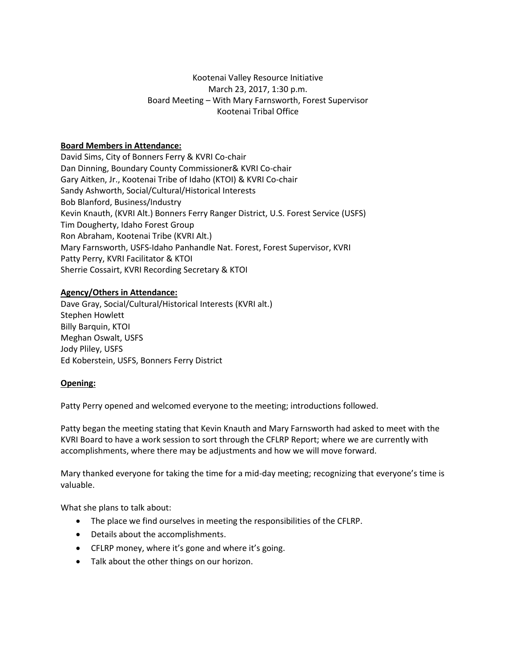# Kootenai Valley Resource Initiative March 23, 2017, 1:30 p.m. Board Meeting – With Mary Farnsworth, Forest Supervisor Kootenai Tribal Office

## **Board Members in Attendance:**

David Sims, City of Bonners Ferry & KVRI Co-chair Dan Dinning, Boundary County Commissioner& KVRI Co-chair Gary Aitken, Jr., Kootenai Tribe of Idaho (KTOI) & KVRI Co-chair Sandy Ashworth, Social/Cultural/Historical Interests Bob Blanford, Business/Industry Kevin Knauth, (KVRI Alt.) Bonners Ferry Ranger District, U.S. Forest Service (USFS) Tim Dougherty, Idaho Forest Group Ron Abraham, Kootenai Tribe (KVRI Alt.) Mary Farnsworth, USFS-Idaho Panhandle Nat. Forest, Forest Supervisor, KVRI Patty Perry, KVRI Facilitator & KTOI Sherrie Cossairt, KVRI Recording Secretary & KTOI

### **Agency/Others in Attendance:**

Dave Gray, Social/Cultural/Historical Interests (KVRI alt.) Stephen Howlett Billy Barquin, KTOI Meghan Oswalt, USFS Jody Pliley, USFS Ed Koberstein, USFS, Bonners Ferry District

### **Opening:**

Patty Perry opened and welcomed everyone to the meeting; introductions followed.

Patty began the meeting stating that Kevin Knauth and Mary Farnsworth had asked to meet with the KVRI Board to have a work session to sort through the CFLRP Report; where we are currently with accomplishments, where there may be adjustments and how we will move forward.

Mary thanked everyone for taking the time for a mid-day meeting; recognizing that everyone's time is valuable.

What she plans to talk about:

- The place we find ourselves in meeting the responsibilities of the CFLRP.
- Details about the accomplishments.
- CFLRP money, where it's gone and where it's going.
- Talk about the other things on our horizon.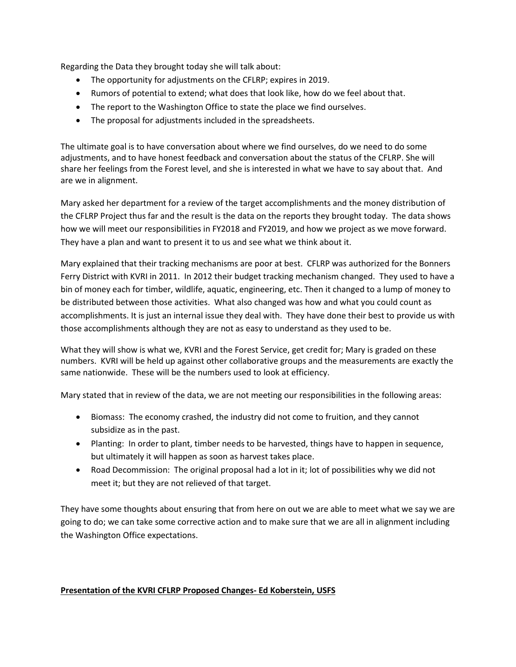Regarding the Data they brought today she will talk about:

- The opportunity for adjustments on the CFLRP; expires in 2019.
- Rumors of potential to extend; what does that look like, how do we feel about that.
- The report to the Washington Office to state the place we find ourselves.
- The proposal for adjustments included in the spreadsheets.

The ultimate goal is to have conversation about where we find ourselves, do we need to do some adjustments, and to have honest feedback and conversation about the status of the CFLRP. She will share her feelings from the Forest level, and she is interested in what we have to say about that. And are we in alignment.

Mary asked her department for a review of the target accomplishments and the money distribution of the CFLRP Project thus far and the result is the data on the reports they brought today. The data shows how we will meet our responsibilities in FY2018 and FY2019, and how we project as we move forward. They have a plan and want to present it to us and see what we think about it.

Mary explained that their tracking mechanisms are poor at best. CFLRP was authorized for the Bonners Ferry District with KVRI in 2011. In 2012 their budget tracking mechanism changed. They used to have a bin of money each for timber, wildlife, aquatic, engineering, etc. Then it changed to a lump of money to be distributed between those activities. What also changed was how and what you could count as accomplishments. It is just an internal issue they deal with. They have done their best to provide us with those accomplishments although they are not as easy to understand as they used to be.

What they will show is what we, KVRI and the Forest Service, get credit for; Mary is graded on these numbers. KVRI will be held up against other collaborative groups and the measurements are exactly the same nationwide. These will be the numbers used to look at efficiency.

Mary stated that in review of the data, we are not meeting our responsibilities in the following areas:

- Biomass: The economy crashed, the industry did not come to fruition, and they cannot subsidize as in the past.
- Planting: In order to plant, timber needs to be harvested, things have to happen in sequence, but ultimately it will happen as soon as harvest takes place.
- Road Decommission: The original proposal had a lot in it; lot of possibilities why we did not meet it; but they are not relieved of that target.

They have some thoughts about ensuring that from here on out we are able to meet what we say we are going to do; we can take some corrective action and to make sure that we are all in alignment including the Washington Office expectations.

### **Presentation of the KVRI CFLRP Proposed Changes- Ed Koberstein, USFS**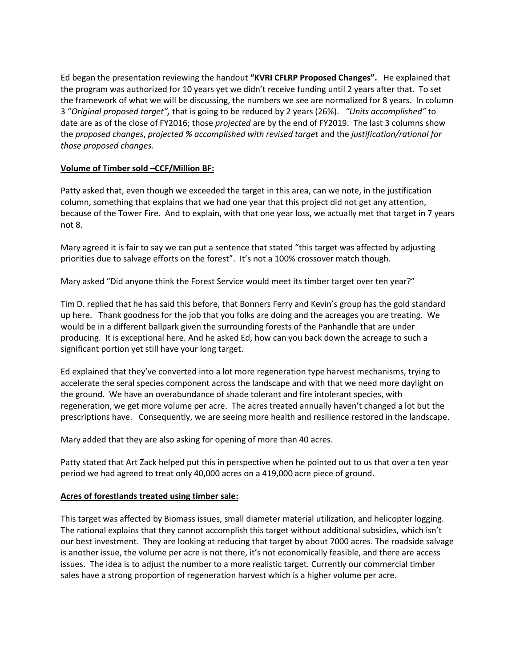Ed began the presentation reviewing the handout **"KVRI CFLRP Proposed Changes".** He explained that the program was authorized for 10 years yet we didn't receive funding until 2 years after that. To set the framework of what we will be discussing, the numbers we see are normalized for 8 years. In column 3 "*Original proposed target",* that is going to be reduced by 2 years (26%). *"Units accomplished"* to date are as of the close of FY2016; those *projected* are by the end of FY2019. The last 3 columns show the *proposed changes*, *projected % accomplished with revised target* and the *justification/rational for those proposed changes.*

### **Volume of Timber sold –CCF/Million BF:**

Patty asked that, even though we exceeded the target in this area, can we note, in the justification column, something that explains that we had one year that this project did not get any attention, because of the Tower Fire. And to explain, with that one year loss, we actually met that target in 7 years not 8.

Mary agreed it is fair to say we can put a sentence that stated "this target was affected by adjusting priorities due to salvage efforts on the forest". It's not a 100% crossover match though.

Mary asked "Did anyone think the Forest Service would meet its timber target over ten year?"

Tim D. replied that he has said this before, that Bonners Ferry and Kevin's group has the gold standard up here. Thank goodness for the job that you folks are doing and the acreages you are treating. We would be in a different ballpark given the surrounding forests of the Panhandle that are under producing. It is exceptional here. And he asked Ed, how can you back down the acreage to such a significant portion yet still have your long target.

Ed explained that they've converted into a lot more regeneration type harvest mechanisms, trying to accelerate the seral species component across the landscape and with that we need more daylight on the ground. We have an overabundance of shade tolerant and fire intolerant species, with regeneration, we get more volume per acre. The acres treated annually haven't changed a lot but the prescriptions have. Consequently, we are seeing more health and resilience restored in the landscape.

Mary added that they are also asking for opening of more than 40 acres.

Patty stated that Art Zack helped put this in perspective when he pointed out to us that over a ten year period we had agreed to treat only 40,000 acres on a 419,000 acre piece of ground.

### **Acres of forestlands treated using timber sale:**

This target was affected by Biomass issues, small diameter material utilization, and helicopter logging. The rational explains that they cannot accomplish this target without additional subsidies, which isn't our best investment. They are looking at reducing that target by about 7000 acres. The roadside salvage is another issue, the volume per acre is not there, it's not economically feasible, and there are access issues. The idea is to adjust the number to a more realistic target. Currently our commercial timber sales have a strong proportion of regeneration harvest which is a higher volume per acre.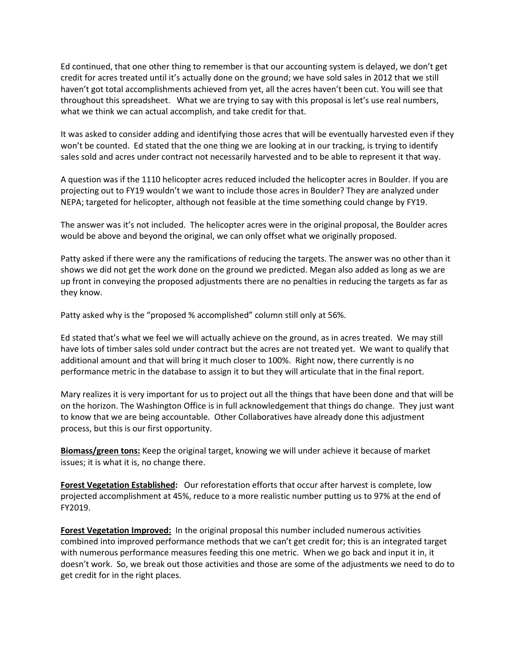Ed continued, that one other thing to remember is that our accounting system is delayed, we don't get credit for acres treated until it's actually done on the ground; we have sold sales in 2012 that we still haven't got total accomplishments achieved from yet, all the acres haven't been cut. You will see that throughout this spreadsheet. What we are trying to say with this proposal is let's use real numbers, what we think we can actual accomplish, and take credit for that.

It was asked to consider adding and identifying those acres that will be eventually harvested even if they won't be counted. Ed stated that the one thing we are looking at in our tracking, is trying to identify sales sold and acres under contract not necessarily harvested and to be able to represent it that way.

A question was if the 1110 helicopter acres reduced included the helicopter acres in Boulder. If you are projecting out to FY19 wouldn't we want to include those acres in Boulder? They are analyzed under NEPA; targeted for helicopter, although not feasible at the time something could change by FY19.

The answer was it's not included. The helicopter acres were in the original proposal, the Boulder acres would be above and beyond the original, we can only offset what we originally proposed.

Patty asked if there were any the ramifications of reducing the targets. The answer was no other than it shows we did not get the work done on the ground we predicted. Megan also added as long as we are up front in conveying the proposed adjustments there are no penalties in reducing the targets as far as they know.

Patty asked why is the "proposed % accomplished" column still only at 56%.

Ed stated that's what we feel we will actually achieve on the ground, as in acres treated. We may still have lots of timber sales sold under contract but the acres are not treated yet. We want to qualify that additional amount and that will bring it much closer to 100%. Right now, there currently is no performance metric in the database to assign it to but they will articulate that in the final report.

Mary realizes it is very important for us to project out all the things that have been done and that will be on the horizon. The Washington Office is in full acknowledgement that things do change. They just want to know that we are being accountable. Other Collaboratives have already done this adjustment process, but this is our first opportunity.

**Biomass/green tons:** Keep the original target, knowing we will under achieve it because of market issues; it is what it is, no change there.

**Forest Vegetation Established:** Our reforestation efforts that occur after harvest is complete, low projected accomplishment at 45%, reduce to a more realistic number putting us to 97% at the end of FY2019.

**Forest Vegetation Improved:** In the original proposal this number included numerous activities combined into improved performance methods that we can't get credit for; this is an integrated target with numerous performance measures feeding this one metric. When we go back and input it in, it doesn't work. So, we break out those activities and those are some of the adjustments we need to do to get credit for in the right places.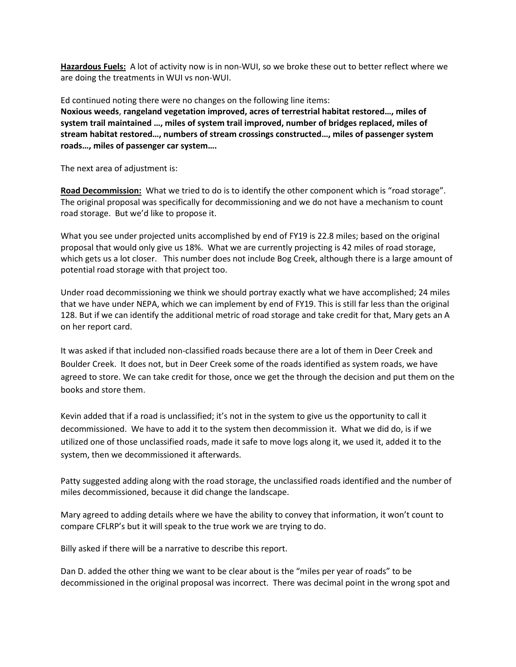**Hazardous Fuels:** A lot of activity now is in non-WUI, so we broke these out to better reflect where we are doing the treatments in WUI vs non-WUI.

Ed continued noting there were no changes on the following line items: **Noxious weeds**, **rangeland vegetation improved, acres of terrestrial habitat restored…, miles of system trail maintained …, miles of system trail improved, number of bridges replaced, miles of stream habitat restored…, numbers of stream crossings constructed…, miles of passenger system roads…, miles of passenger car system….**

The next area of adjustment is:

**Road Decommission:** What we tried to do is to identify the other component which is "road storage". The original proposal was specifically for decommissioning and we do not have a mechanism to count road storage. But we'd like to propose it.

What you see under projected units accomplished by end of FY19 is 22.8 miles; based on the original proposal that would only give us 18%. What we are currently projecting is 42 miles of road storage, which gets us a lot closer. This number does not include Bog Creek, although there is a large amount of potential road storage with that project too.

Under road decommissioning we think we should portray exactly what we have accomplished; 24 miles that we have under NEPA, which we can implement by end of FY19. This is still far less than the original 128. But if we can identify the additional metric of road storage and take credit for that, Mary gets an A on her report card.

It was asked if that included non-classified roads because there are a lot of them in Deer Creek and Boulder Creek. It does not, but in Deer Creek some of the roads identified as system roads, we have agreed to store. We can take credit for those, once we get the through the decision and put them on the books and store them.

Kevin added that if a road is unclassified; it's not in the system to give us the opportunity to call it decommissioned. We have to add it to the system then decommission it. What we did do, is if we utilized one of those unclassified roads, made it safe to move logs along it, we used it, added it to the system, then we decommissioned it afterwards.

Patty suggested adding along with the road storage, the unclassified roads identified and the number of miles decommissioned, because it did change the landscape.

Mary agreed to adding details where we have the ability to convey that information, it won't count to compare CFLRP's but it will speak to the true work we are trying to do.

Billy asked if there will be a narrative to describe this report.

Dan D. added the other thing we want to be clear about is the "miles per year of roads" to be decommissioned in the original proposal was incorrect. There was decimal point in the wrong spot and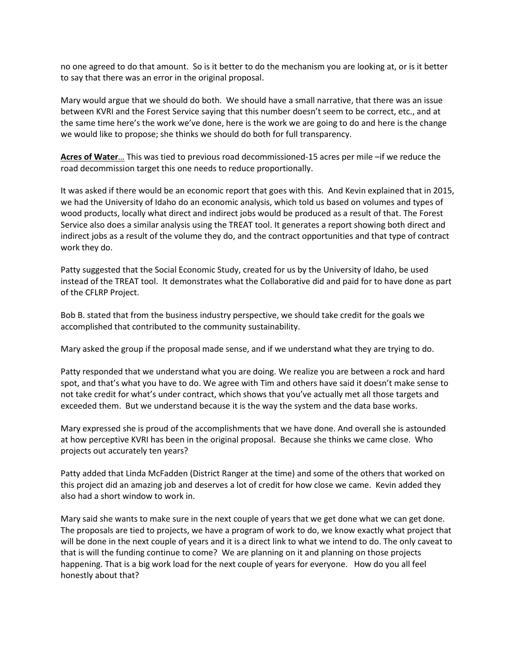no one agreed to do that amount. So is it better to do the mechanism you are looking at, or is it better to say that there was an error in the original proposal.

Mary would argue that we should do both. We should have a small narrative, that there was an issue between KVRI and the Forest Service saying that this number doesn't seem to be correct, etc., and at the same time here's the work we've done, here is the work we are going to do and here is the change we would like to propose; she thinks we should do both for full transparency.

**Acres of Water**… This was tied to previous road decommissioned-15 acres per mile –if we reduce the road decommission target this one needs to reduce proportionally.

It was asked if there would be an economic report that goes with this. And Kevin explained that in 2015, we had the University of Idaho do an economic analysis, which told us based on volumes and types of wood products, locally what direct and indirect jobs would be produced as a result of that. The Forest Service also does a similar analysis using the TREAT tool. It generates a report showing both direct and indirect jobs as a result of the volume they do, and the contract opportunities and that type of contract work they do.

Patty suggested that the Social Economic Study, created for us by the University of Idaho, be used instead of the TREAT tool. It demonstrates what the Collaborative did and paid for to have done as part of the CFLRP Project.

Bob B. stated that from the business industry perspective, we should take credit for the goals we accomplished that contributed to the community sustainability.

Mary asked the group if the proposal made sense, and if we understand what they are trying to do.

Patty responded that we understand what you are doing. We realize you are between a rock and hard spot, and that's what you have to do. We agree with Tim and others have said it doesn't make sense to not take credit for what's under contract, which shows that you've actually met all those targets and exceeded them. But we understand because it is the way the system and the data base works.

Mary expressed she is proud of the accomplishments that we have done. And overall she is astounded at how perceptive KVRI has been in the original proposal. Because she thinks we came close. Who projects out accurately ten years?

Patty added that Linda McFadden (District Ranger at the time) and some of the others that worked on this project did an amazing job and deserves a lot of credit for how close we came. Kevin added they also had a short window to work in.

Mary said she wants to make sure in the next couple of years that we get done what we can get done. The proposals are tied to projects, we have a program of work to do, we know exactly what project that will be done in the next couple of years and it is a direct link to what we intend to do. The only caveat to that is will the funding continue to come? We are planning on it and planning on those projects happening. That is a big work load for the next couple of years for everyone. How do you all feel honestly about that?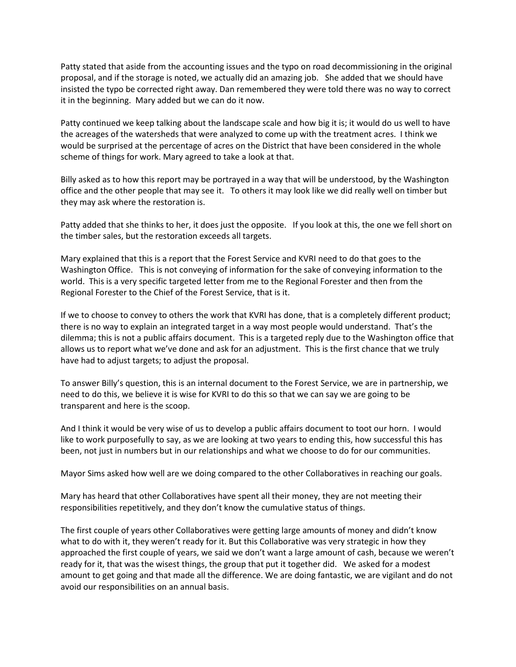Patty stated that aside from the accounting issues and the typo on road decommissioning in the original proposal, and if the storage is noted, we actually did an amazing job. She added that we should have insisted the typo be corrected right away. Dan remembered they were told there was no way to correct it in the beginning. Mary added but we can do it now.

Patty continued we keep talking about the landscape scale and how big it is; it would do us well to have the acreages of the watersheds that were analyzed to come up with the treatment acres. I think we would be surprised at the percentage of acres on the District that have been considered in the whole scheme of things for work. Mary agreed to take a look at that.

Billy asked as to how this report may be portrayed in a way that will be understood, by the Washington office and the other people that may see it. To others it may look like we did really well on timber but they may ask where the restoration is.

Patty added that she thinks to her, it does just the opposite. If you look at this, the one we fell short on the timber sales, but the restoration exceeds all targets.

Mary explained that this is a report that the Forest Service and KVRI need to do that goes to the Washington Office. This is not conveying of information for the sake of conveying information to the world. This is a very specific targeted letter from me to the Regional Forester and then from the Regional Forester to the Chief of the Forest Service, that is it.

If we to choose to convey to others the work that KVRI has done, that is a completely different product; there is no way to explain an integrated target in a way most people would understand. That's the dilemma; this is not a public affairs document. This is a targeted reply due to the Washington office that allows us to report what we've done and ask for an adjustment. This is the first chance that we truly have had to adjust targets; to adjust the proposal.

To answer Billy's question, this is an internal document to the Forest Service, we are in partnership, we need to do this, we believe it is wise for KVRI to do this so that we can say we are going to be transparent and here is the scoop.

And I think it would be very wise of us to develop a public affairs document to toot our horn. I would like to work purposefully to say, as we are looking at two years to ending this, how successful this has been, not just in numbers but in our relationships and what we choose to do for our communities.

Mayor Sims asked how well are we doing compared to the other Collaboratives in reaching our goals.

Mary has heard that other Collaboratives have spent all their money, they are not meeting their responsibilities repetitively, and they don't know the cumulative status of things.

The first couple of years other Collaboratives were getting large amounts of money and didn't know what to do with it, they weren't ready for it. But this Collaborative was very strategic in how they approached the first couple of years, we said we don't want a large amount of cash, because we weren't ready for it, that was the wisest things, the group that put it together did. We asked for a modest amount to get going and that made all the difference. We are doing fantastic, we are vigilant and do not avoid our responsibilities on an annual basis.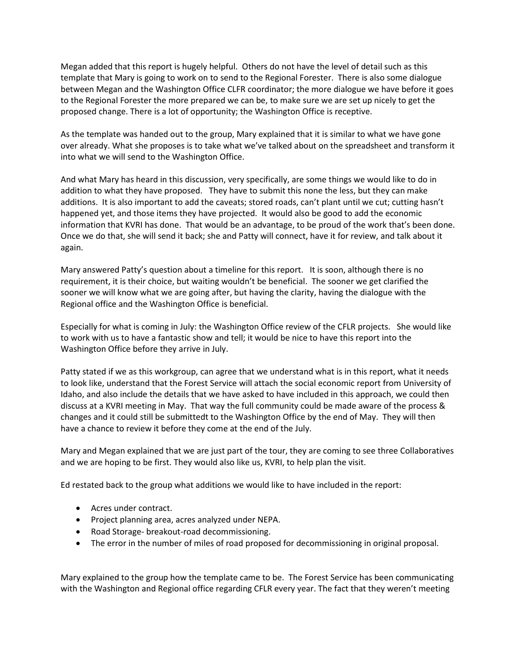Megan added that this report is hugely helpful. Others do not have the level of detail such as this template that Mary is going to work on to send to the Regional Forester. There is also some dialogue between Megan and the Washington Office CLFR coordinator; the more dialogue we have before it goes to the Regional Forester the more prepared we can be, to make sure we are set up nicely to get the proposed change. There is a lot of opportunity; the Washington Office is receptive.

As the template was handed out to the group, Mary explained that it is similar to what we have gone over already. What she proposes is to take what we've talked about on the spreadsheet and transform it into what we will send to the Washington Office.

And what Mary has heard in this discussion, very specifically, are some things we would like to do in addition to what they have proposed. They have to submit this none the less, but they can make additions. It is also important to add the caveats; stored roads, can't plant until we cut; cutting hasn't happened yet, and those items they have projected. It would also be good to add the economic information that KVRI has done. That would be an advantage, to be proud of the work that's been done. Once we do that, she will send it back; she and Patty will connect, have it for review, and talk about it again.

Mary answered Patty's question about a timeline for this report. It is soon, although there is no requirement, it is their choice, but waiting wouldn't be beneficial. The sooner we get clarified the sooner we will know what we are going after, but having the clarity, having the dialogue with the Regional office and the Washington Office is beneficial.

Especially for what is coming in July: the Washington Office review of the CFLR projects. She would like to work with us to have a fantastic show and tell; it would be nice to have this report into the Washington Office before they arrive in July.

Patty stated if we as this workgroup, can agree that we understand what is in this report, what it needs to look like, understand that the Forest Service will attach the social economic report from University of Idaho, and also include the details that we have asked to have included in this approach, we could then discuss at a KVRI meeting in May. That way the full community could be made aware of the process & changes and it could still be submittedt to the Washington Office by the end of May. They will then have a chance to review it before they come at the end of the July.

Mary and Megan explained that we are just part of the tour, they are coming to see three Collaboratives and we are hoping to be first. They would also like us, KVRI, to help plan the visit.

Ed restated back to the group what additions we would like to have included in the report:

- Acres under contract.
- Project planning area, acres analyzed under NEPA.
- Road Storage- breakout-road decommissioning.
- The error in the number of miles of road proposed for decommissioning in original proposal.

Mary explained to the group how the template came to be. The Forest Service has been communicating with the Washington and Regional office regarding CFLR every year. The fact that they weren't meeting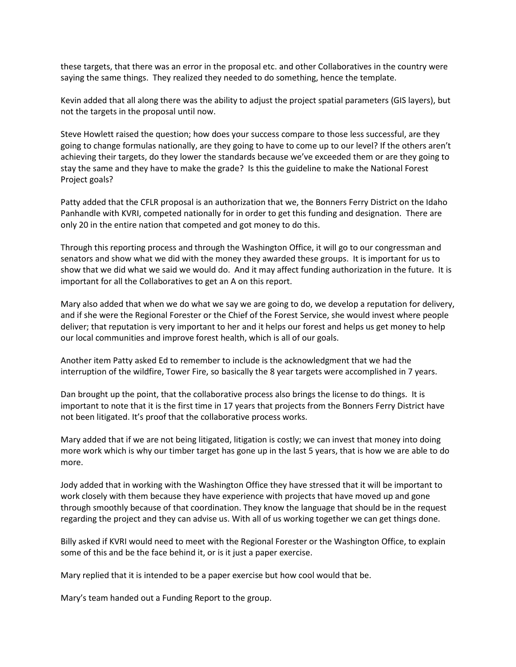these targets, that there was an error in the proposal etc. and other Collaboratives in the country were saying the same things. They realized they needed to do something, hence the template.

Kevin added that all along there was the ability to adjust the project spatial parameters (GIS layers), but not the targets in the proposal until now.

Steve Howlett raised the question; how does your success compare to those less successful, are they going to change formulas nationally, are they going to have to come up to our level? If the others aren't achieving their targets, do they lower the standards because we've exceeded them or are they going to stay the same and they have to make the grade? Is this the guideline to make the National Forest Project goals?

Patty added that the CFLR proposal is an authorization that we, the Bonners Ferry District on the Idaho Panhandle with KVRI, competed nationally for in order to get this funding and designation. There are only 20 in the entire nation that competed and got money to do this.

Through this reporting process and through the Washington Office, it will go to our congressman and senators and show what we did with the money they awarded these groups. It is important for us to show that we did what we said we would do. And it may affect funding authorization in the future. It is important for all the Collaboratives to get an A on this report.

Mary also added that when we do what we say we are going to do, we develop a reputation for delivery, and if she were the Regional Forester or the Chief of the Forest Service, she would invest where people deliver; that reputation is very important to her and it helps our forest and helps us get money to help our local communities and improve forest health, which is all of our goals.

Another item Patty asked Ed to remember to include is the acknowledgment that we had the interruption of the wildfire, Tower Fire, so basically the 8 year targets were accomplished in 7 years.

Dan brought up the point, that the collaborative process also brings the license to do things. It is important to note that it is the first time in 17 years that projects from the Bonners Ferry District have not been litigated. It's proof that the collaborative process works.

Mary added that if we are not being litigated, litigation is costly; we can invest that money into doing more work which is why our timber target has gone up in the last 5 years, that is how we are able to do more.

Jody added that in working with the Washington Office they have stressed that it will be important to work closely with them because they have experience with projects that have moved up and gone through smoothly because of that coordination. They know the language that should be in the request regarding the project and they can advise us. With all of us working together we can get things done.

Billy asked if KVRI would need to meet with the Regional Forester or the Washington Office, to explain some of this and be the face behind it, or is it just a paper exercise.

Mary replied that it is intended to be a paper exercise but how cool would that be.

Mary's team handed out a Funding Report to the group.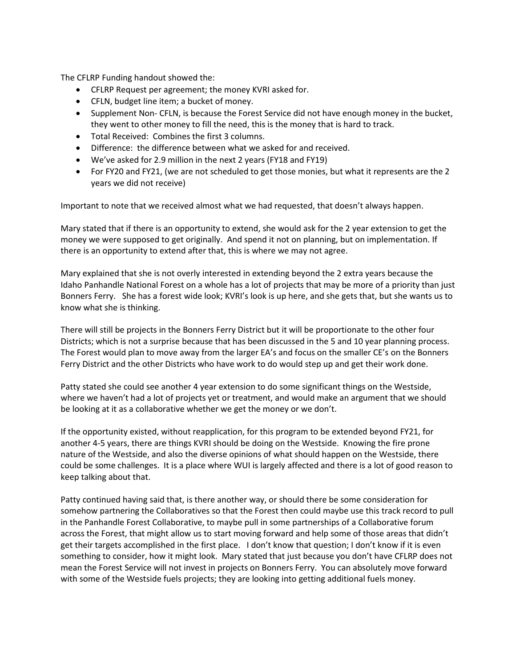The CFLRP Funding handout showed the:

- CFLRP Request per agreement; the money KVRI asked for.
- CFLN, budget line item; a bucket of money.
- Supplement Non- CFLN, is because the Forest Service did not have enough money in the bucket, they went to other money to fill the need, this is the money that is hard to track.
- Total Received: Combines the first 3 columns.
- Difference: the difference between what we asked for and received.
- We've asked for 2.9 million in the next 2 years (FY18 and FY19)
- For FY20 and FY21, (we are not scheduled to get those monies, but what it represents are the 2 years we did not receive)

Important to note that we received almost what we had requested, that doesn't always happen.

Mary stated that if there is an opportunity to extend, she would ask for the 2 year extension to get the money we were supposed to get originally. And spend it not on planning, but on implementation. If there is an opportunity to extend after that, this is where we may not agree.

Mary explained that she is not overly interested in extending beyond the 2 extra years because the Idaho Panhandle National Forest on a whole has a lot of projects that may be more of a priority than just Bonners Ferry. She has a forest wide look; KVRI's look is up here, and she gets that, but she wants us to know what she is thinking.

There will still be projects in the Bonners Ferry District but it will be proportionate to the other four Districts; which is not a surprise because that has been discussed in the 5 and 10 year planning process. The Forest would plan to move away from the larger EA's and focus on the smaller CE's on the Bonners Ferry District and the other Districts who have work to do would step up and get their work done.

Patty stated she could see another 4 year extension to do some significant things on the Westside, where we haven't had a lot of projects yet or treatment, and would make an argument that we should be looking at it as a collaborative whether we get the money or we don't.

If the opportunity existed, without reapplication, for this program to be extended beyond FY21, for another 4-5 years, there are things KVRI should be doing on the Westside. Knowing the fire prone nature of the Westside, and also the diverse opinions of what should happen on the Westside, there could be some challenges. It is a place where WUI is largely affected and there is a lot of good reason to keep talking about that.

Patty continued having said that, is there another way, or should there be some consideration for somehow partnering the Collaboratives so that the Forest then could maybe use this track record to pull in the Panhandle Forest Collaborative, to maybe pull in some partnerships of a Collaborative forum across the Forest, that might allow us to start moving forward and help some of those areas that didn't get their targets accomplished in the first place. I don't know that question; I don't know if it is even something to consider, how it might look. Mary stated that just because you don't have CFLRP does not mean the Forest Service will not invest in projects on Bonners Ferry. You can absolutely move forward with some of the Westside fuels projects; they are looking into getting additional fuels money.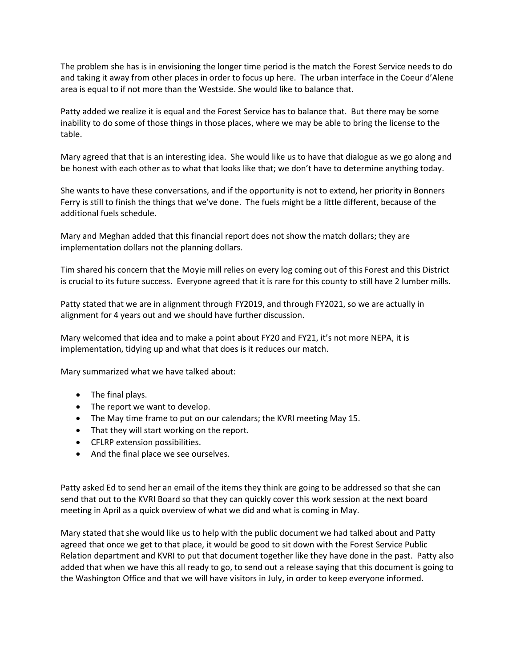The problem she has is in envisioning the longer time period is the match the Forest Service needs to do and taking it away from other places in order to focus up here. The urban interface in the Coeur d'Alene area is equal to if not more than the Westside. She would like to balance that.

Patty added we realize it is equal and the Forest Service has to balance that. But there may be some inability to do some of those things in those places, where we may be able to bring the license to the table.

Mary agreed that that is an interesting idea. She would like us to have that dialogue as we go along and be honest with each other as to what that looks like that; we don't have to determine anything today.

She wants to have these conversations, and if the opportunity is not to extend, her priority in Bonners Ferry is still to finish the things that we've done. The fuels might be a little different, because of the additional fuels schedule.

Mary and Meghan added that this financial report does not show the match dollars; they are implementation dollars not the planning dollars.

Tim shared his concern that the Moyie mill relies on every log coming out of this Forest and this District is crucial to its future success. Everyone agreed that it is rare for this county to still have 2 lumber mills.

Patty stated that we are in alignment through FY2019, and through FY2021, so we are actually in alignment for 4 years out and we should have further discussion.

Mary welcomed that idea and to make a point about FY20 and FY21, it's not more NEPA, it is implementation, tidying up and what that does is it reduces our match.

Mary summarized what we have talked about:

- The final plays.
- The report we want to develop.
- The May time frame to put on our calendars; the KVRI meeting May 15.
- That they will start working on the report.
- CFLRP extension possibilities.
- And the final place we see ourselves.

Patty asked Ed to send her an email of the items they think are going to be addressed so that she can send that out to the KVRI Board so that they can quickly cover this work session at the next board meeting in April as a quick overview of what we did and what is coming in May.

Mary stated that she would like us to help with the public document we had talked about and Patty agreed that once we get to that place, it would be good to sit down with the Forest Service Public Relation department and KVRI to put that document together like they have done in the past. Patty also added that when we have this all ready to go, to send out a release saying that this document is going to the Washington Office and that we will have visitors in July, in order to keep everyone informed.